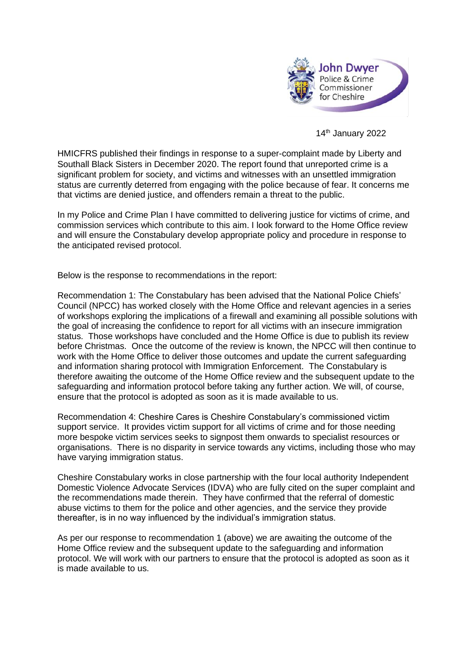

14th January 2022

HMICFRS published their findings in response to a super-complaint made by Liberty and Southall Black Sisters in December 2020. The report found that unreported crime is a significant problem for society, and victims and witnesses with an unsettled immigration status are currently deterred from engaging with the police because of fear. It concerns me that victims are denied justice, and offenders remain a threat to the public.

In my Police and Crime Plan I have committed to delivering justice for victims of crime, and commission services which contribute to this aim. I look forward to the Home Office review and will ensure the Constabulary develop appropriate policy and procedure in response to the anticipated revised protocol.

Below is the response to recommendations in the report:

Recommendation 1: The Constabulary has been advised that the National Police Chiefs' Council (NPCC) has worked closely with the Home Office and relevant agencies in a series of workshops exploring the implications of a firewall and examining all possible solutions with the goal of increasing the confidence to report for all victims with an insecure immigration status. Those workshops have concluded and the Home Office is due to publish its review before Christmas. Once the outcome of the review is known, the NPCC will then continue to work with the Home Office to deliver those outcomes and update the current safeguarding and information sharing protocol with Immigration Enforcement. The Constabulary is therefore awaiting the outcome of the Home Office review and the subsequent update to the safeguarding and information protocol before taking any further action. We will, of course, ensure that the protocol is adopted as soon as it is made available to us.

Recommendation 4: Cheshire Cares is Cheshire Constabulary's commissioned victim support service. It provides victim support for all victims of crime and for those needing more bespoke victim services seeks to signpost them onwards to specialist resources or organisations. There is no disparity in service towards any victims, including those who may have varying immigration status.

Cheshire Constabulary works in close partnership with the four local authority Independent Domestic Violence Advocate Services (IDVA) who are fully cited on the super complaint and the recommendations made therein. They have confirmed that the referral of domestic abuse victims to them for the police and other agencies, and the service they provide thereafter, is in no way influenced by the individual's immigration status.

As per our response to recommendation 1 (above) we are awaiting the outcome of the Home Office review and the subsequent update to the safeguarding and information protocol. We will work with our partners to ensure that the protocol is adopted as soon as it is made available to us.